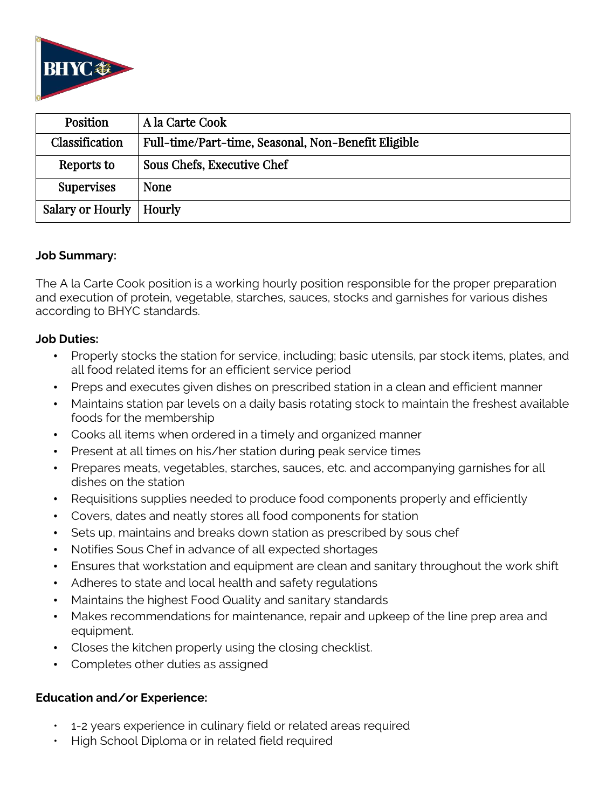

| <b>Position</b>           | A la Carte Cook                                     |
|---------------------------|-----------------------------------------------------|
| Classification            | Full-time/Part-time, Seasonal, Non-Benefit Eligible |
| Reports to                | Sous Chefs, Executive Chef                          |
| <b>Supervises</b>         | <b>None</b>                                         |
| Salary or Hourly   Hourly |                                                     |

## **Job Summary:**

The A la Carte Cook position is a working hourly position responsible for the proper preparation and execution of protein, vegetable, starches, sauces, stocks and garnishes for various dishes according to BHYC standards.

## **Job Duties:**

- Properly stocks the station for service, including; basic utensils, par stock items, plates, and all food related items for an efficient service period
- Preps and executes given dishes on prescribed station in a clean and efficient manner
- Maintains station par levels on a daily basis rotating stock to maintain the freshest available foods for the membership
- Cooks all items when ordered in a timely and organized manner
- Present at all times on his/her station during peak service times
- Prepares meats, vegetables, starches, sauces, etc. and accompanying garnishes for all dishes on the station
- Requisitions supplies needed to produce food components properly and efficiently
- Covers, dates and neatly stores all food components for station
- Sets up, maintains and breaks down station as prescribed by sous chef
- Notifies Sous Chef in advance of all expected shortages
- Ensures that workstation and equipment are clean and sanitary throughout the work shift
- Adheres to state and local health and safety regulations
- Maintains the highest Food Quality and sanitary standards
- Makes recommendations for maintenance, repair and upkeep of the line prep area and equipment.
- Closes the kitchen properly using the closing checklist.
- Completes other duties as assigned

## **Education and/or Experience:**

- 1-2 years experience in culinary field or related areas required
- High School Diploma or in related field required